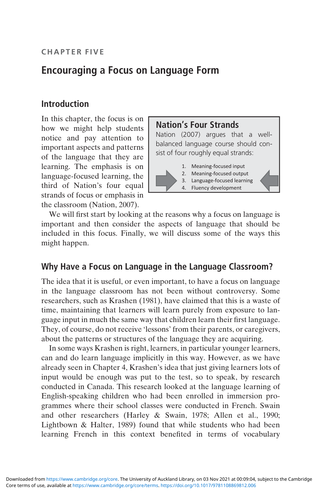# Encouraging a Focus on Language Form

# Introduction

In this chapter, the focus is on how we might help students notice and pay attention to important aspects and patterns of the language that they are learning. The emphasis is on language-focused learning, the third of Nation's four equal strands of focus or emphasis in the classroom (Nation, 2007).



We will first start by looking at the reasons why a focus on language is important and then consider the aspects of language that should be included in this focus. Finally, we will discuss some of the ways this might happen.

# Why Have a Focus on Language in the Language Classroom?

The idea that it is useful, or even important, to have a focus on language in the language classroom has not been without controversy. Some researchers, such as Krashen (1981), have claimed that this is a waste of time, maintaining that learners will learn purely from exposure to language input in much the same way that children learn their first language. They, of course, do not receive 'lessons' from their parents, or caregivers, about the patterns or structures of the language they are acquiring.

In some ways Krashen is right, learners, in particular younger learners, can and do learn language implicitly in this way. However, as we have already seen in Chapter 4, Krashen's idea that just giving learners lots of input would be enough was put to the test, so to speak, by research conducted in Canada. This research looked at the language learning of English-speaking children who had been enrolled in immersion programmes where their school classes were conducted in French. Swain and other researchers (Harley & Swain, 1978; Allen et al., 1990; Lightbown & Halter, 1989) found that while students who had been learning French in this context benefited in terms of vocabulary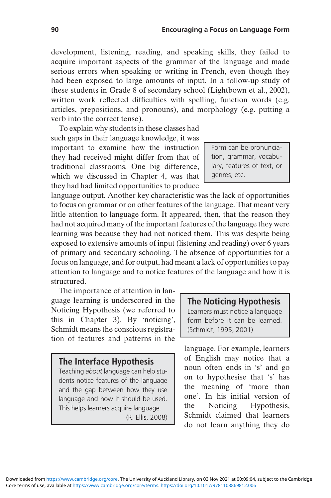development, listening, reading, and speaking skills, they failed to acquire important aspects of the grammar of the language and made serious errors when speaking or writing in French, even though they had been exposed to large amounts of input. In a follow-up study of these students in Grade 8 of secondary school (Lightbown et al., 2002), written work reflected difficulties with spelling, function words (e.g. articles, prepositions, and pronouns), and morphology (e.g. putting a verb into the correct tense).

To explain why students in these classes had such gaps in their language knowledge, it was important to examine how the instruction they had received might differ from that of traditional classrooms. One big difference, which we discussed in Chapter 4, was that they had had limited opportunities to produce

language output. Another key characteristic was the lack of opportunities to focus on grammar or on other features of the language. That meant very little attention to language form. It appeared, then, that the reason they had not acquired many of the important features of the language they were learning was because they had not noticed them. This was despite being exposed to extensive amounts of input (listening and reading) over 6 years of primary and secondary schooling. The absence of opportunities for a focus on language, and for output, had meant a lack of opportunities to pay attention to language and to notice features of the language and how it is structured.

The importance of attention in language learning is underscored in the Noticing Hypothesis (we referred to this in Chapter 3). By 'noticing', Schmidt means the conscious registration of features and patterns in the

### The Interface Hypothesis

Teaching about language can help students notice features of the language and the gap between how they use language and how it should be used. This helps learners acquire language.

(R. Ellis, 2008)

### The Noticing Hypothesis

Learners must notice a language form before it can be learned. (Schmidt, 1995; 2001)

language. For example, learners of English may notice that a noun often ends in 's' and go on to hypothesise that 's' has the meaning of 'more than one'. In his initial version of the Noticing Hypothesis, Schmidt claimed that learners do not learn anything they do

Form can be pronunciation, grammar, vocabulary, features of text, or genres, etc.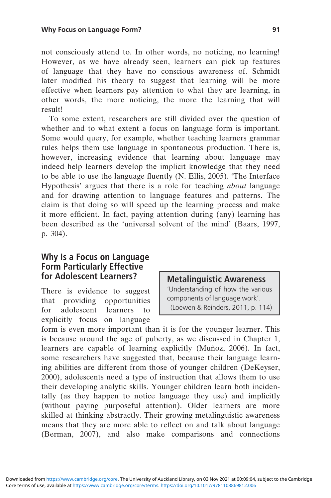not consciously attend to. In other words, no noticing, no learning! However, as we have already seen, learners can pick up features of language that they have no conscious awareness of. Schmidt later modified his theory to suggest that learning will be more effective when learners pay attention to what they are learning, in other words, the more noticing, the more the learning that will result!

To some extent, researchers are still divided over the question of whether and to what extent a focus on language form is important. Some would query, for example, whether teaching learners grammar rules helps them use language in spontaneous production. There is, however, increasing evidence that learning about language may indeed help learners develop the implicit knowledge that they need to be able to use the language fluently (N. Ellis, 2005). 'The Interface Hypothesis' argues that there is a role for teaching about language and for drawing attention to language features and patterns. The claim is that doing so will speed up the learning process and make it more efficient. In fact, paying attention during (any) learning has been described as the 'universal solvent of the mind' (Baars, 1997, p. 304).

## Why Is a Focus on Language Form Particularly Effective for Adolescent Learners?

There is evidence to suggest that providing opportunities for adolescent learners to explicitly focus on language

### Metalinguistic Awareness

'Understanding of how the various components of language work'. (Loewen & Reinders, 2011, p. 114)

form is even more important than it is for the younger learner. This is because around the age of puberty, as we discussed in Chapter 1, learners are capable of learning explicitly (Muñoz, 2006). In fact, some researchers have suggested that, because their language learning abilities are different from those of younger children (DeKeyser, 2000), adolescents need a type of instruction that allows them to use their developing analytic skills. Younger children learn both incidentally (as they happen to notice language they use) and implicitly (without paying purposeful attention). Older learners are more skilled at thinking abstractly. Their growing metalinguistic awareness means that they are more able to reflect on and talk about language (Berman, 2007), and also make comparisons and connections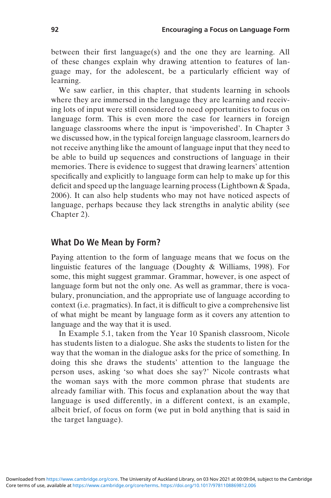between their first language(s) and the one they are learning. All of these changes explain why drawing attention to features of language may, for the adolescent, be a particularly efficient way of learning.

We saw earlier, in this chapter, that students learning in schools where they are immersed in the language they are learning and receiving lots of input were still considered to need opportunities to focus on language form. This is even more the case for learners in foreign language classrooms where the input is 'impoverished'. In Chapter 3 we discussed how, in the typical foreign language classroom, learners do not receive anything like the amount of language input that they need to be able to build up sequences and constructions of language in their memories. There is evidence to suggest that drawing learners' attention specifically and explicitly to language form can help to make up for this deficit and speed up the language learning process (Lightbown & Spada, 2006). It can also help students who may not have noticed aspects of language, perhaps because they lack strengths in analytic ability (see Chapter 2).

# What Do We Mean by Form?

Paying attention to the form of language means that we focus on the linguistic features of the language (Doughty & Williams, 1998). For some, this might suggest grammar. Grammar, however, is one aspect of language form but not the only one. As well as grammar, there is vocabulary, pronunciation, and the appropriate use of language according to context (i.e. pragmatics). In fact, it is difficult to give a comprehensive list of what might be meant by language form as it covers any attention to language and the way that it is used.

In Example 5.1, taken from the Year 10 Spanish classroom, Nicole has students listen to a dialogue. She asks the students to listen for the way that the woman in the dialogue asks for the price of something. In doing this she draws the students' attention to the language the person uses, asking 'so what does she say?' Nicole contrasts what the woman says with the more common phrase that students are already familiar with. This focus and explanation about the way that language is used differently, in a different context, is an example, albeit brief, of focus on form (we put in bold anything that is said in the target language).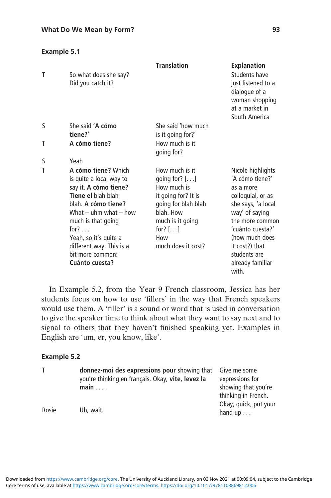### Example 5.1

|   |                                                                                                                                                                                                                                                                                     | <b>Translation</b>                                                                                                                                                        | <b>Explanation</b>                                                                                                                                                                                                                     |
|---|-------------------------------------------------------------------------------------------------------------------------------------------------------------------------------------------------------------------------------------------------------------------------------------|---------------------------------------------------------------------------------------------------------------------------------------------------------------------------|----------------------------------------------------------------------------------------------------------------------------------------------------------------------------------------------------------------------------------------|
| Τ | So what does she say?<br>Did you catch it?                                                                                                                                                                                                                                          |                                                                                                                                                                           | Students have<br>just listened to a<br>dialogue of a<br>woman shopping<br>at a market in<br>South America                                                                                                                              |
| S | She said 'A cómo<br>tiene?'                                                                                                                                                                                                                                                         | She said 'how much<br>is it going for?'                                                                                                                                   |                                                                                                                                                                                                                                        |
| Τ | A cómo tiene?                                                                                                                                                                                                                                                                       | How much is it<br>going for?                                                                                                                                              |                                                                                                                                                                                                                                        |
| S | Yeah                                                                                                                                                                                                                                                                                |                                                                                                                                                                           |                                                                                                                                                                                                                                        |
| Τ | A cómo tiene? Which<br>is quite a local way to<br>say it. A cómo tiene?<br>Tiene el blah blah<br>blah. A cómo tiene?<br>What $-$ uhm what $-$ how<br>much is that going<br>for? $\ldots$<br>Yeah, so it's quite a<br>different way. This is a<br>bit more common:<br>Cuánto cuesta? | How much is it<br>going for? $[]$<br>How much is<br>it going for? It is<br>going for blah blah<br>blah. How<br>much is it going<br>for? $[]$<br>How<br>much does it cost? | Nicole highlights<br>'A cómo tiene?'<br>as a more<br>colloquial, or as<br>she says, 'a local<br>way' of saying<br>the more common<br>'cuánto cuesta?'<br>(how much does<br>it cost?) that<br>students are<br>already familiar<br>with. |

In Example 5.2, from the Year 9 French classroom, Jessica has her students focus on how to use 'fillers' in the way that French speakers would use them. A 'filler' is a sound or word that is used in conversation to give the speaker time to think about what they want to say next and to signal to others that they haven't finished speaking yet. Examples in English are 'um, er, you know, like'.

### Example 5.2

|       | donnez-moi des expressions pour showing that      | Give me some          |
|-------|---------------------------------------------------|-----------------------|
|       | you're thinking en français. Okay, vite, levez la | expressions for       |
|       | main                                              | showing that you're   |
|       |                                                   | thinking in French.   |
|       |                                                   | Okay, quick, put your |
| Rosie | Uh, wait.                                         | hand $up \dots$       |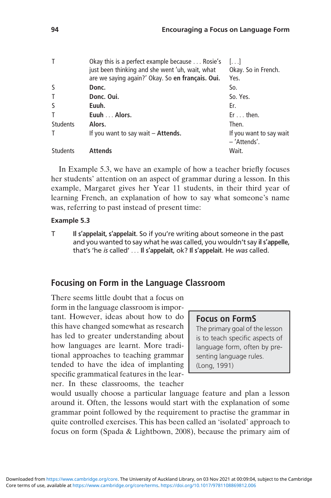| т               | Okay this is a perfect example because Rosie's<br>just been thinking and she went 'uh, wait, what | $\left  \ldots \right $<br>Okay. So in French. |
|-----------------|---------------------------------------------------------------------------------------------------|------------------------------------------------|
|                 | are we saying again?' Okay. So en français. Oui.                                                  | Yes.                                           |
| S               | Donc.                                                                                             | So.                                            |
| Τ               | Donc. Oui.                                                                                        | So. Yes.                                       |
| S               | Euuh.                                                                                             | Er.                                            |
| Τ               | Euuh  Alors.                                                                                      | $Er \dots then.$                               |
| <b>Students</b> | Alors.                                                                                            | Then.                                          |
| т               | If you want to say wait $-$ Attends.                                                              | If you want to say wait<br>- 'Attends'.        |
| <b>Students</b> | Attends                                                                                           | Wait.                                          |
|                 |                                                                                                   |                                                |

In Example 5.3, we have an example of how a teacher briefly focuses her students' attention on an aspect of grammar during a lesson. In this example, Margaret gives her Year 11 students, in their third year of learning French, an explanation of how to say what someone's name was, referring to past instead of present time:

### Example 5.3

T Il s'appelait, s'appelait. So if you're writing about someone in the past and you wanted to say what he was called, you wouldn't say il s'appelle, that's 'he is called' ... Il s'appelait, ok? Il s'appelait. He was called.

# Focusing on Form in the Language Classroom

There seems little doubt that a focus on form in the language classroom is important. However, ideas about how to do this have changed somewhat as research has led to greater understanding about how languages are learnt. More traditional approaches to teaching grammar tended to have the idea of implanting specific grammatical features in the learner. In these classrooms, the teacher

## Focus on FormS

The primary goal of the lesson is to teach specific aspects of language form, often by presenting language rules. (Long, 1991)

would usually choose a particular language feature and plan a lesson around it. Often, the lessons would start with the explanation of some grammar point followed by the requirement to practise the grammar in quite controlled exercises. This has been called an 'isolated' approach to focus on form (Spada & Lightbown, 2008), because the primary aim of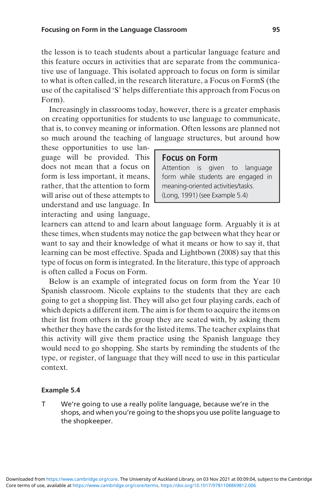the lesson is to teach students about a particular language feature and this feature occurs in activities that are separate from the communicative use of language. This isolated approach to focus on form is similar to what is often called, in the research literature, a Focus on FormS (the use of the capitalised 'S' helps differentiate this approach from Focus on Form).

Increasingly in classrooms today, however, there is a greater emphasis on creating opportunities for students to use language to communicate, that is, to convey meaning or information. Often lessons are planned not so much around the teaching of language structures, but around how

these opportunities to use language will be provided. This does not mean that a focus on form is less important, it means, rather, that the attention to form will arise out of these attempts to understand and use language. In interacting and using language,

### Focus on Form

Attention is given to language form while students are engaged in meaning-oriented activities/tasks. (Long, 1991) (see Example 5.4)

learners can attend to and learn about language form. Arguably it is at these times, when students may notice the gap between what they hear or want to say and their knowledge of what it means or how to say it, that learning can be most effective. Spada and Lightbown (2008) say that this type of focus on form is integrated. In the literature, this type of approach is often called a Focus on Form.

Below is an example of integrated focus on form from the Year 10 Spanish classroom. Nicole explains to the students that they are each going to get a shopping list. They will also get four playing cards, each of which depicts a different item. The aim is for them to acquire the items on their list from others in the group they are seated with, by asking them whether they have the cards for the listed items. The teacher explains that this activity will give them practice using the Spanish language they would need to go shopping. She starts by reminding the students of the type, or register, of language that they will need to use in this particular context.

#### Example 5.4

T We're going to use a really polite language, because we're in the shops, and when you're going to the shops you use polite language to the shopkeeper.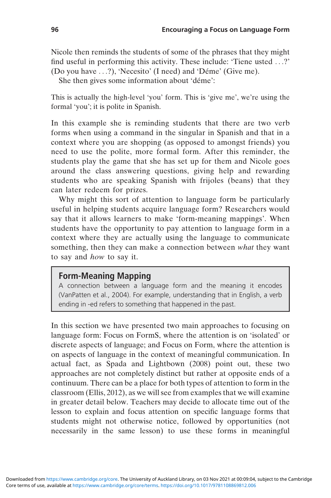Nicole then reminds the students of some of the phrases that they might find useful in performing this activity. These include: 'Tiene usted ...?' (Do you have ...?), 'Necesito' (I need) and 'Déme' (Give me).

She then gives some information about 'déme':

This is actually the high-level 'you' form. This is 'give me', we're using the formal 'you'; it is polite in Spanish.

In this example she is reminding students that there are two verb forms when using a command in the singular in Spanish and that in a context where you are shopping (as opposed to amongst friends) you need to use the polite, more formal form. After this reminder, the students play the game that she has set up for them and Nicole goes around the class answering questions, giving help and rewarding students who are speaking Spanish with frijoles (beans) that they can later redeem for prizes.

Why might this sort of attention to language form be particularly useful in helping students acquire language form? Researchers would say that it allows learners to make 'form-meaning mappings'. When students have the opportunity to pay attention to language form in a context where they are actually using the language to communicate something, then they can make a connection between what they want to say and how to say it.

### Form-Meaning Mapping

A connection between a language form and the meaning it encodes (VanPatten et al., 2004). For example, understanding that in English, a verb ending in -ed refers to something that happened in the past.

In this section we have presented two main approaches to focusing on language form: Focus on FormS, where the attention is on 'isolated' or discrete aspects of language; and Focus on Form, where the attention is on aspects of language in the context of meaningful communication. In actual fact, as Spada and Lightbown (2008) point out, these two approaches are not completely distinct but rather at opposite ends of a continuum. There can be a place for both types of attention to form in the classroom (Ellis, 2012), as we will see from examples that we will examine in greater detail below. Teachers may decide to allocate time out of the lesson to explain and focus attention on specific language forms that students might not otherwise notice, followed by opportunities (not necessarily in the same lesson) to use these forms in meaningful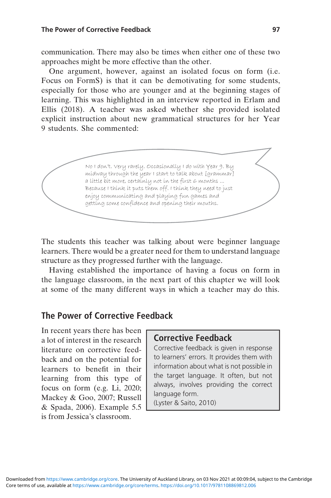communication. There may also be times when either one of these two approaches might be more effective than the other.

One argument, however, against an isolated focus on form (i.e. Focus on FormS) is that it can be demotivating for some students, especially for those who are younger and at the beginning stages of learning. This was highlighted in an interview reported in Erlam and Ellis (2018). A teacher was asked whether she provided isolated explicit instruction about new grammatical structures for her Year 9 students. She commented:

> No I don't. Very rarely. Occasionally I do with Year 9. By midway through the year I start to talk about [grammar] a little bit more, certainly not in the first 6 months ... Because I think it puts them off. I think they need to just enjoy communicating and playing fun games and getting some confidence and opening their mouths.

The students this teacher was talking about were beginner language learners. There would be a greater need for them to understand language structure as they progressed further with the language.

Having established the importance of having a focus on form in the language classroom, in the next part of this chapter we will look at some of the many different ways in which a teacher may do this.

# The Power of Corrective Feedback

In recent years there has been a lot of interest in the research literature on corrective feedback and on the potential for learners to benefit in their learning from this type of focus on form (e.g. Li, 2020; Mackey & Goo, 2007; Russell & Spada, 2006). Example 5.5 is from Jessica's classroom.

### Corrective Feedback

Corrective feedback is given in response to learners' errors. It provides them with information about what is not possible in the target language. It often, but not always, involves providing the correct language form.

(Lyster & Saito, 2010)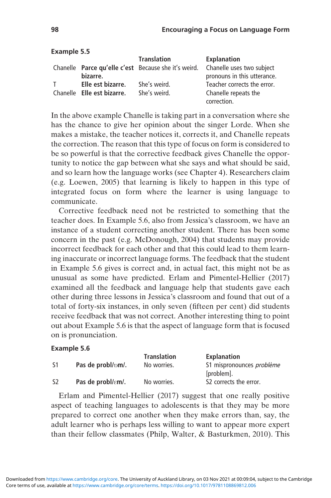|    |                            | <b>Translation</b>                                   | Explanation                 |
|----|----------------------------|------------------------------------------------------|-----------------------------|
|    |                            | Chanelle Parce qu'elle c'est Because she it's weird. | Chanelle uses two subject   |
|    | bizarre.                   |                                                      | pronouns in this utterance. |
| T. | Elle est bizarre.          | She's weird.                                         | Teacher corrects the error. |
|    | Chanelle Elle est bizarre. | She's weird.                                         | Chanelle repeats the        |
|    |                            |                                                      | correction.                 |

In the above example Chanelle is taking part in a conversation where she has the chance to give her opinion about the singer Lorde. When she makes a mistake, the teacher notices it, corrects it, and Chanelle repeats the correction. The reason that this type of focus on form is considered to be so powerful is that the corrective feedback gives Chanelle the opportunity to notice the gap between what she says and what should be said, and so learn how the language works (see Chapter 4). Researchers claim (e.g. Loewen, 2005) that learning is likely to happen in this type of integrated focus on form where the learner is using language to communicate.

Corrective feedback need not be restricted to something that the teacher does. In Example 5.6, also from Jessica's classroom, we have an instance of a student correcting another student. There has been some concern in the past (e.g. McDonough, 2004) that students may provide incorrect feedback for each other and that this could lead to them learning inaccurate or incorrect language forms. The feedback that the student in Example 5.6 gives is correct and, in actual fact, this might not be as unusual as some have predicted. Erlam and Pimentel-Hellier (2017) examined all the feedback and language help that students gave each other during three lessons in Jessica's classroom and found that out of a total of forty-six instances, in only seven (fifteen per cent) did students receive feedback that was not correct. Another interesting thing to point out about Example 5.6 is that the aspect of language form that is focused on is pronunciation.

### Example 5.6

|     |                                 | <b>Translation</b> | Explanation                      |
|-----|---------------------------------|--------------------|----------------------------------|
| -S1 | Pas de probl/pm/.               | No worries.        | S1 mispronounces <i>problème</i> |
|     |                                 |                    | [problem].                       |
| -S2 | Pas de probl/ $\varepsilon$ m/. | No worries.        | S2 corrects the error.           |

Erlam and Pimentel-Hellier (2017) suggest that one really positive aspect of teaching languages to adolescents is that they may be more prepared to correct one another when they make errors than, say, the adult learner who is perhaps less willing to want to appear more expert than their fellow classmates (Philp, Walter, & Basturkmen, 2010). This

Example 5.5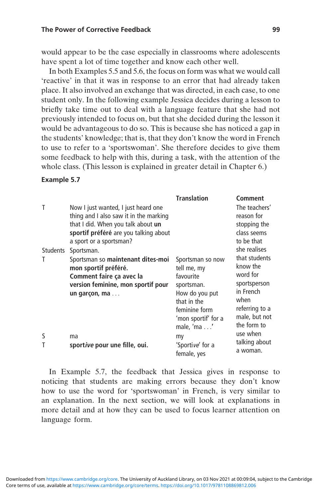would appear to be the case especially in classrooms where adolescents have spent a lot of time together and know each other well.

In both Examples 5.5 and 5.6, the focus on form was what we would call 'reactive' in that it was in response to an error that had already taken place. It also involved an exchange that was directed, in each case, to one student only. In the following example Jessica decides during a lesson to briefly take time out to deal with a language feature that she had not previously intended to focus on, but that she decided during the lesson it would be advantageous to do so. This is because she has noticed a gap in the students' knowledge; that is, that they don't know the word in French to use to refer to a 'sportswoman'. She therefore decides to give them some feedback to help with this, during a task, with the attention of the whole class. (This lesson is explained in greater detail in Chapter 6.)

#### Example 5.7

| Τ               | Now I just wanted, I just heard one<br>thing and I also saw it in the marking<br>that I did. When you talk about un<br>sportif préféré are you talking about<br>a sport or a sportsman? | <b>Translation</b>                                                                                                                                         | Comment<br>The teachers'<br>reason for<br>stopping the<br>class seems<br>to be that                         |
|-----------------|-----------------------------------------------------------------------------------------------------------------------------------------------------------------------------------------|------------------------------------------------------------------------------------------------------------------------------------------------------------|-------------------------------------------------------------------------------------------------------------|
| <b>Students</b> | Sportsman.                                                                                                                                                                              |                                                                                                                                                            | she realises<br>that students                                                                               |
| Т               | Sportsman so maintenant dites-moi<br>mon sportif préféré.<br>Comment faire ça avec la<br>version feminine, mon sportif pour<br>un garçon, ma                                            | Sportsman so now<br>tell me, my<br>favourite<br>sportsman.<br>How do you put<br>that in the<br>feminine form<br>'mon sportif' for a<br>male, 'ma $\dots$ ' | know the<br>word for<br>sportsperson<br>in French<br>when<br>referring to a<br>male, but not<br>the form to |
| S               | ma                                                                                                                                                                                      | my                                                                                                                                                         | use when<br>talking about                                                                                   |
| T               | sport <i>ive</i> pour une fille, oui.                                                                                                                                                   | 'Sportive' for a<br>female, yes                                                                                                                            | a woman.                                                                                                    |

In Example 5.7, the feedback that Jessica gives in response to noticing that students are making errors because they don't know how to use the word for 'sportswoman' in French, is very similar to an explanation. In the next section, we will look at explanations in more detail and at how they can be used to focus learner attention on language form.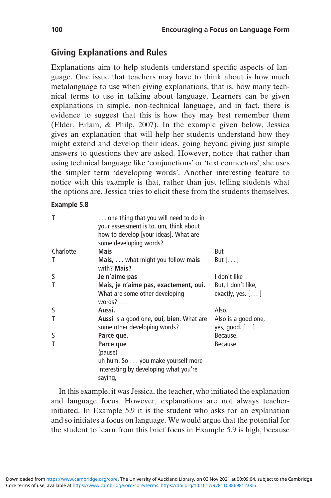# Giving Explanations and Rules

Explanations aim to help students understand specific aspects of language. One issue that teachers may have to think about is how much metalanguage to use when giving explanations, that is, how many technical terms to use in talking about language. Learners can be given explanations in simple, non-technical language, and in fact, there is evidence to suggest that this is how they may best remember them (Elder, Erlam, & Philp, 2007). In the example given below, Jessica gives an explanation that will help her students understand how they might extend and develop their ideas, going beyond giving just simple answers to questions they are asked. However, notice that rather than using technical language like 'conjunctions' or 'text connectors', she uses the simpler term 'developing words'. Another interesting feature to notice with this example is that, rather than just telling students what the options are, Jessica tries to elicit these from the students themselves.

### Example 5.8

| Τ         | one thing that you will need to do in<br>your assessment is to, um, think about<br>how to develop [your ideas]. What are<br>some developing words? |                                          |
|-----------|----------------------------------------------------------------------------------------------------------------------------------------------------|------------------------------------------|
| Charlotte | Mais                                                                                                                                               | But                                      |
| Τ         | <b>Mais,</b> $\dots$ what might you follow <b>mais</b><br>with? Mais?                                                                              | But $[\dots]$                            |
| S         | Je n'aime pas                                                                                                                                      | I don't like                             |
| Τ         | Mais, je n'aime pas, exactement, oui.<br>What are some other developing<br>words? $\ldots$                                                         | But, I don't like,<br>exactly, yes. $[]$ |
| S         | Aussi.                                                                                                                                             | Also.                                    |
| T         | Aussi is a good one, oui, bien. What are<br>some other developing words?                                                                           | Also is a good one,<br>yes, good. $[]$   |
| S         | Parce que.                                                                                                                                         | Because.                                 |
| T         | Parce que<br>(pause)<br>uh hum. So you make yourself more<br>interesting by developing what you're<br>saying,                                      | <b>Because</b>                           |

In this example, it was Jessica, the teacher, who initiated the explanation and language focus. However, explanations are not always teacherinitiated. In Example 5.9 it is the student who asks for an explanation and so initiates a focus on language. We would argue that the potential for the student to learn from this brief focus in Example 5.9 is high, because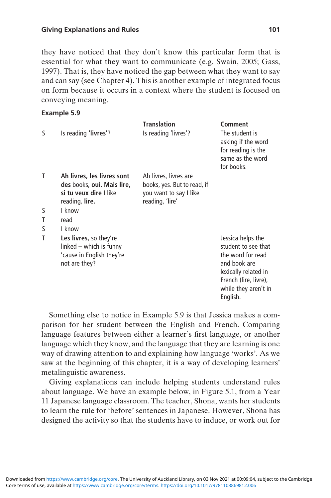they have noticed that they don't know this particular form that is essential for what they want to communicate (e.g. Swain, 2005; Gass, 1997). That is, they have noticed the gap between what they want to say and can say (see Chapter 4). This is another example of integrated focus on form because it occurs in a context where the student is focused on conveying meaning.

### Example 5.9

|   |                                                                                                 | <b>Translation</b>                        | Comment                                                                                                                                                            |
|---|-------------------------------------------------------------------------------------------------|-------------------------------------------|--------------------------------------------------------------------------------------------------------------------------------------------------------------------|
| S | Is reading 'livres'?                                                                            | Is reading 'livres'?                      | The student is<br>asking if the word<br>for reading is the<br>same as the word<br>for books.                                                                       |
| Т | Ah livres, les livres sont                                                                      | Ah livres, livres are                     |                                                                                                                                                                    |
|   | des books, oui. Mais lire,                                                                      | books, yes. But to read, if               |                                                                                                                                                                    |
|   | si tu veux dire I like<br>reading, lire.                                                        | you want to say I like<br>reading, 'lire' |                                                                                                                                                                    |
| S | I know                                                                                          |                                           |                                                                                                                                                                    |
| T | read                                                                                            |                                           |                                                                                                                                                                    |
| S | I know                                                                                          |                                           |                                                                                                                                                                    |
| T | Les livres, so they're<br>linked – which is funny<br>'cause in English they're<br>not are they? |                                           | Jessica helps the<br>student to see that<br>the word for read<br>and book are<br>lexically related in<br>French (lire, livre),<br>while they aren't in<br>English. |

Something else to notice in Example 5.9 is that Jessica makes a comparison for her student between the English and French. Comparing language features between either a learner's first language, or another language which they know, and the language that they are learning is one way of drawing attention to and explaining how language 'works'. As we saw at the beginning of this chapter, it is a way of developing learners' metalinguistic awareness.

Giving explanations can include helping students understand rules about language. We have an example below, in Figure 5.1, from a Year 11 Japanese language classroom. The teacher, Shona, wants her students to learn the rule for 'before' sentences in Japanese. However, Shona has designed the activity so that the students have to induce, or work out for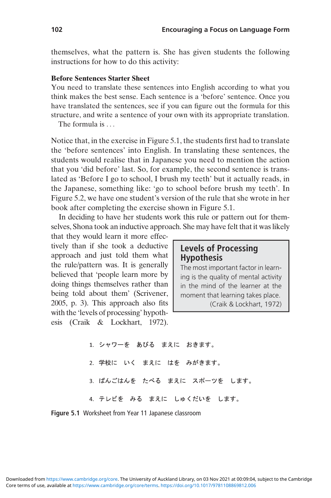themselves, what the pattern is. She has given students the following instructions for how to do this activity:

#### Before Sentences Starter Sheet

You need to translate these sentences into English according to what you think makes the best sense. Each sentence is a 'before' sentence. Once you have translated the sentences, see if you can figure out the formula for this structure, and write a sentence of your own with its appropriate translation.

The formula is ...

Notice that, in the exercise in Figure 5.1, the students first had to translate the 'before sentences' into English. In translating these sentences, the students would realise that in Japanese you need to mention the action that you 'did before' last. So, for example, the second sentence is translated as 'Before I go to school, I brush my teeth' but it actually reads, in the Japanese, something like: 'go to school before brush my teeth'. In Figure 5.2, we have one student's version of the rule that she wrote in her book after completing the exercise shown in Figure 5.1.

In deciding to have her students work this rule or pattern out for themselves, Shona took an inductive approach. She may have felt that it was likely

that they would learn it more effectively than if she took a deductive approach and just told them what the rule/pattern was. It is generally believed that 'people learn more by doing things themselves rather than being told about them' (Scrivener, 2005, p. 3). This approach also fits with the 'levels of processing' hypothesis (Craik & Lockhart, 1972).

## Levels of Processing Hypothesis

The most important factor in learning is the quality of mental activity in the mind of the learner at the moment that learning takes place. (Craik & Lockhart, 1972)

1. シャワーを あびる まえに おきます。 2. 学校に いく まえに はを みがきます。 3. ばんごはんを たべる まえに スポーツを します。 4. テレビを みる まえに しゅくだいを します。

Figure 5.1 Worksheet from Year 11 Japanese classroom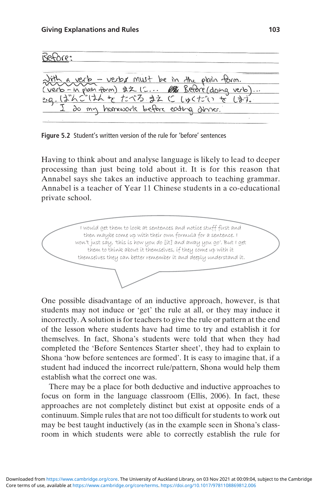Before: verb - verbs must be in the plain form. ZZ IC... 18 Betore/doing verb <u>renb - in plain form)</u>  $.13.6$ まえ (C LBC before eaching

Figure 5.2 Student's written version of the rule for 'before' sentences

Having to think about and analyse language is likely to lead to deeper processing than just being told about it. It is for this reason that Annabel says she takes an inductive approach to teaching grammar. Annabel is a teacher of Year 11 Chinese students in a co-educational private school.

I would get them to look at sentences and notice stuff first and then maybe come up with their own formula for a sentence. I won't just say, 'this is how you do [it] and away you go'. But I get them to think about it themselves, if they come up with it themselves they can better remember it and deeply understand it.

One possible disadvantage of an inductive approach, however, is that students may not induce or 'get' the rule at all, or they may induce it incorrectly. A solution is for teachers to give the rule or pattern at the end of the lesson where students have had time to try and establish it for themselves. In fact, Shona's students were told that when they had completed the 'Before Sentences Starter sheet', they had to explain to Shona 'how before sentences are formed'. It is easy to imagine that, if a student had induced the incorrect rule/pattern, Shona would help them establish what the correct one was.

There may be a place for both deductive and inductive approaches to focus on form in the language classroom (Ellis, 2006). In fact, these approaches are not completely distinct but exist at opposite ends of a continuum. Simple rules that are not too difficult for students to work out may be best taught inductively (as in the example seen in Shona's classroom in which students were able to correctly establish the rule for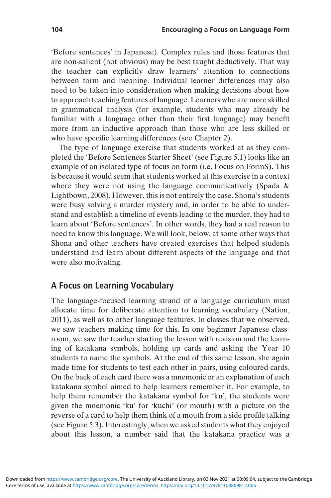'Before sentences' in Japanese). Complex rules and those features that are non-salient (not obvious) may be best taught deductively. That way the teacher can explicitly draw learners' attention to connections between form and meaning. Individual learner differences may also need to be taken into consideration when making decisions about how to approach teaching features of language. Learners who are more skilled in grammatical analysis (for example, students who may already be familiar with a language other than their first language) may benefit more from an inductive approach than those who are less skilled or who have specific learning differences (see Chapter 2).

The type of language exercise that students worked at as they completed the 'Before Sentences Starter Sheet' (see Figure 5.1) looks like an example of an isolated type of focus on form (i.e. Focus on FormS). This is because it would seem that students worked at this exercise in a context where they were not using the language communicatively (Spada & Lightbown, 2008). However, this is not entirely the case. Shona's students were busy solving a murder mystery and, in order to be able to understand and establish a timeline of events leading to the murder, they had to learn about 'Before sentences'. In other words, they had a real reason to need to know this language. We will look, below, at some other ways that Shona and other teachers have created exercises that helped students understand and learn about different aspects of the language and that were also motivating.

### A Focus on Learning Vocabulary

The language-focused learning strand of a language curriculum must allocate time for deliberate attention to learning vocabulary (Nation, 2011), as well as to other language features. In classes that we observed, we saw teachers making time for this. In one beginner Japanese classroom, we saw the teacher starting the lesson with revision and the learning of katakana symbols, holding up cards and asking the Year 10 students to name the symbols. At the end of this same lesson, she again made time for students to test each other in pairs, using coloured cards. On the back of each card there was a mnemonic or an explanation of each katakana symbol aimed to help learners remember it. For example, to help them remember the katakana symbol for 'ku', the students were given the mnemonic 'ku' for 'kuchi' (or mouth) with a picture on the reverse of a card to help them think of a mouth from a side profile talking (see Figure 5.3). Interestingly, when we asked students what they enjoyed about this lesson, a number said that the katakana practice was a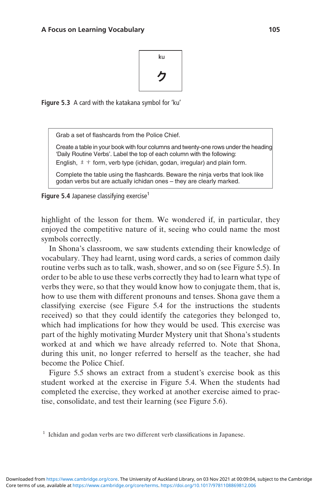

Figure 5.3 A card with the katakana symbol for 'ku'

Grab a set of flashcards from the Police Chief.

Create a table in your book with four columns and twenty-one rows under the heading 'Daily Routine Verbs'. Label the top of each column with the following:

English,  $\pm \pm$  form, verb type (ichidan, godan, irregular) and plain form.

Complete the table using the flashcards. Beware the ninja verbs that look like godan verbs but are actually ichidan ones – they are clearly marked.

Figure 5.4 Japanese classifying exercise<sup>1</sup>

highlight of the lesson for them. We wondered if, in particular, they enjoyed the competitive nature of it, seeing who could name the most symbols correctly.

In Shona's classroom, we saw students extending their knowledge of vocabulary. They had learnt, using word cards, a series of common daily routine verbs such as to talk, wash, shower, and so on (see Figure 5.5). In order to be able to use these verbs correctly they had to learn what type of verbs they were, so that they would know how to conjugate them, that is, how to use them with different pronouns and tenses. Shona gave them a classifying exercise (see Figure 5.4 for the instructions the students received) so that they could identify the categories they belonged to, which had implications for how they would be used. This exercise was part of the highly motivating Murder Mystery unit that Shona's students worked at and which we have already referred to. Note that Shona, during this unit, no longer referred to herself as the teacher, she had become the Police Chief.

Figure 5.5 shows an extract from a student's exercise book as this student worked at the exercise in Figure 5.4. When the students had completed the exercise, they worked at another exercise aimed to practise, consolidate, and test their learning (see Figure 5.6).

<sup>&</sup>lt;sup>1</sup> Ichidan and godan verbs are two different verb classifications in Japanese.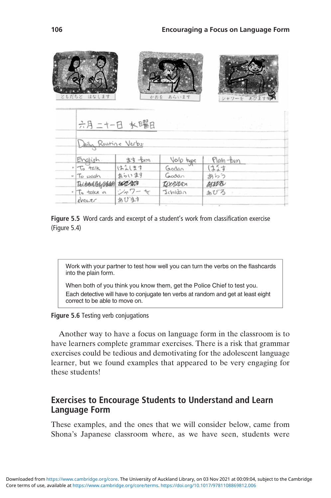| ともだちと はなします              |               | かおを あらいます  | シャワーを あびます         |
|--------------------------|---------------|------------|--------------------|
|                          | 六月二十一日 水曜日    |            | $3.27^{2.3}$       |
| Daily Routine Verbs:     |               |            |                    |
| English                  | ます <b>fam</b> | Verb type  | Plain- <i>Poim</i> |
| $-5$ talk                | はまします         | Godan      | はなす                |
| · To wash                | あらいます         | Godan      | あらう                |
| Tectard log stade to com |               | Territor   | <b>BURB</b>        |
| · To take a              | ンャワーゼ         | Jchidan    | あびろ                |
| shower                   | おびます          | tale and a |                    |
|                          |               |            |                    |

Figure 5.5 Word cards and excerpt of a student's work from classification exercise (Figure 5.4)

Work with your partner to test how well you can turn the verbs on the flashcards into the plain form.

When both of you think you know them, get the Police Chief to test you. Each detective will have to conjugate ten verbs at random and get at least eight correct to be able to move on.

#### Figure 5.6 Testing verb conjugations

Another way to have a focus on language form in the classroom is to have learners complete grammar exercises. There is a risk that grammar exercises could be tedious and demotivating for the adolescent language learner, but we found examples that appeared to be very engaging for these students!

## Exercises to Encourage Students to Understand and Learn Language Form

These examples, and the ones that we will consider below, came from Shona's Japanese classroom where, as we have seen, students were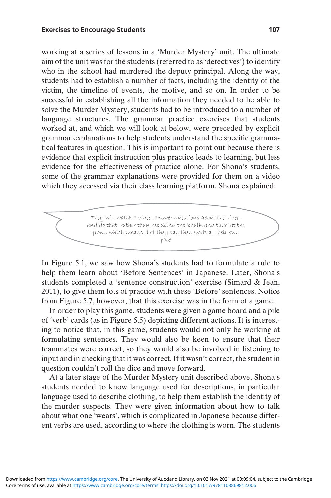working at a series of lessons in a 'Murder Mystery' unit. The ultimate aim of the unit was for the students (referred to as'detectives') to identify who in the school had murdered the deputy principal. Along the way, students had to establish a number of facts, including the identity of the victim, the timeline of events, the motive, and so on. In order to be successful in establishing all the information they needed to be able to solve the Murder Mystery, students had to be introduced to a number of language structures. The grammar practice exercises that students worked at, and which we will look at below, were preceded by explicit grammar explanations to help students understand the specific grammatical features in question. This is important to point out because there is evidence that explicit instruction plus practice leads to learning, but less evidence for the effectiveness of practice alone. For Shona's students, some of the grammar explanations were provided for them on a video which they accessed via their class learning platform. Shona explained:

> They will watch a video, answer questions about the video, and do that, rather than me doing the 'chalk and talk' at the front, which means that they can then work at their own pace.

In Figure 5.1, we saw how Shona's students had to formulate a rule to help them learn about 'Before Sentences' in Japanese. Later, Shona's students completed a 'sentence construction' exercise (Simard & Jean, 2011), to give them lots of practice with these 'Before' sentences. Notice from Figure 5.7, however, that this exercise was in the form of a game.

In order to play this game, students were given a game board and a pile of 'verb' cards (as in Figure 5.5) depicting different actions. It is interesting to notice that, in this game, students would not only be working at formulating sentences. They would also be keen to ensure that their teammates were correct, so they would also be involved in listening to input and in checking that it was correct. If it wasn't correct, the student in question couldn't roll the dice and move forward.

At a later stage of the Murder Mystery unit described above, Shona's students needed to know language used for descriptions, in particular language used to describe clothing, to help them establish the identity of the murder suspects. They were given information about how to talk about what one 'wears', which is complicated in Japanese because different verbs are used, according to where the clothing is worn. The students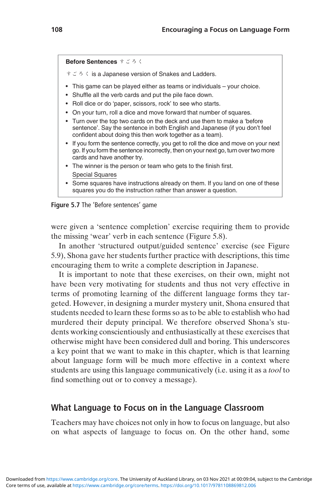```
Before Sentences すごろく
```
すごろく is a Japanese version of Snakes and Ladders.

- This game can be played either as teams or individuals your choice.
- Shuffle all the verb cards and put the pile face down.
- Roll dice or do 'paper, scissors, rock' to see who starts.
- On your turn, roll a dice and move forward that number of squares.
- Turn over the top two cards on the deck and use them to make a 'before sentence'. Say the sentence in both English and Japanese (if you don't feel confident about doing this then work together as a team).
- If you form the sentence correctly, you get to roll the dice and move on your next go. If you form the sentence incorrectly, then on your next go, turn over two more cards and have another try.
- The winner is the person or team who gets to the finish first. Special Squares
- Some squares have instructions already on them. If you land on one of these squares you do the instruction rather than answer a question.

Figure 5.7 The 'Before sentences' game

were given a 'sentence completion' exercise requiring them to provide the missing 'wear' verb in each sentence (Figure 5.8).

In another 'structured output/guided sentence' exercise (see Figure 5.9), Shona gave her students further practice with descriptions, this time encouraging them to write a complete description in Japanese.

It is important to note that these exercises, on their own, might not have been very motivating for students and thus not very effective in terms of promoting learning of the different language forms they targeted. However, in designing a murder mystery unit, Shona ensured that students needed to learn these forms so as to be able to establish who had murdered their deputy principal. We therefore observed Shona's students working conscientiously and enthusiastically at these exercises that otherwise might have been considered dull and boring. This underscores a key point that we want to make in this chapter, which is that learning about language form will be much more effective in a context where students are using this language communicatively (i.e. using it as a tool to find something out or to convey a message).

## What Language to Focus on in the Language Classroom

Teachers may have choices not only in how to focus on language, but also on what aspects of language to focus on. On the other hand, some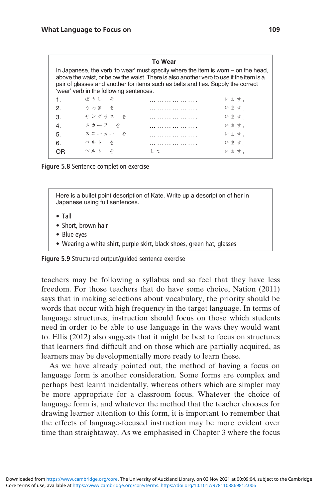#### To Wear

| In Japanese, the verb 'to wear' must specify where the item is worn – on the head,<br>above the waist, or below the waist. There is also another verb to use if the item is a<br>pair of glasses and another for items such as belts and ties. Supply the correct<br>'wear' verb in the following sentences. |         |    |      |  |
|--------------------------------------------------------------------------------------------------------------------------------------------------------------------------------------------------------------------------------------------------------------------------------------------------------------|---------|----|------|--|
| 1.                                                                                                                                                                                                                                                                                                           | ぼうし を   |    | います。 |  |
| 2.                                                                                                                                                                                                                                                                                                           | うわぎ を   |    | います。 |  |
| 3.                                                                                                                                                                                                                                                                                                           | サングラス を |    | います。 |  |
| 4.                                                                                                                                                                                                                                                                                                           | スカーフ を  |    | います。 |  |
| 5.                                                                                                                                                                                                                                                                                                           | スニーカー を |    | います。 |  |
| 6.                                                                                                                                                                                                                                                                                                           | ベルト を   |    | います。 |  |
| OR                                                                                                                                                                                                                                                                                                           | ベルト を   | ッて | います。 |  |
|                                                                                                                                                                                                                                                                                                              |         |    |      |  |

Figure 5.8 Sentence completion exercise

Here is a bullet point description of Kate. Write up a description of her in Japanese using full sentences.

- Tall
- Short, brown hair
- Blue eyes
- Wearing a white shirt, purple skirt, black shoes, green hat, glasses

Figure 5.9 Structured output/guided sentence exercise

teachers may be following a syllabus and so feel that they have less freedom. For those teachers that do have some choice, Nation (2011) says that in making selections about vocabulary, the priority should be words that occur with high frequency in the target language. In terms of language structures, instruction should focus on those which students need in order to be able to use language in the ways they would want to. Ellis (2012) also suggests that it might be best to focus on structures that learners find difficult and on those which are partially acquired, as learners may be developmentally more ready to learn these.

As we have already pointed out, the method of having a focus on language form is another consideration. Some forms are complex and perhaps best learnt incidentally, whereas others which are simpler may be more appropriate for a classroom focus. Whatever the choice of language form is, and whatever the method that the teacher chooses for drawing learner attention to this form, it is important to remember that the effects of language-focused instruction may be more evident over time than straightaway. As we emphasised in Chapter 3 where the focus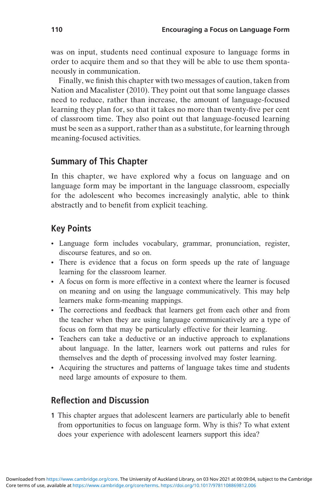was on input, students need continual exposure to language forms in order to acquire them and so that they will be able to use them spontaneously in communication.

Finally, we finish this chapter with two messages of caution, taken from Nation and Macalister (2010). They point out that some language classes need to reduce, rather than increase, the amount of language-focused learning they plan for, so that it takes no more than twenty-five per cent of classroom time. They also point out that language-focused learning must be seen as a support, rather than as a substitute, for learning through meaning-focused activities.

# Summary of This Chapter

In this chapter, we have explored why a focus on language and on language form may be important in the language classroom, especially for the adolescent who becomes increasingly analytic, able to think abstractly and to benefit from explicit teaching.

# Key Points

- Language form includes vocabulary, grammar, pronunciation, register, discourse features, and so on.
- There is evidence that a focus on form speeds up the rate of language learning for the classroom learner.
- A focus on form is more effective in a context where the learner is focused on meaning and on using the language communicatively. This may help learners make form-meaning mappings.
- The corrections and feedback that learners get from each other and from the teacher when they are using language communicatively are a type of focus on form that may be particularly effective for their learning.
- Teachers can take a deductive or an inductive approach to explanations about language. In the latter, learners work out patterns and rules for themselves and the depth of processing involved may foster learning.
- Acquiring the structures and patterns of language takes time and students need large amounts of exposure to them.

# Reflection and Discussion

1 This chapter argues that adolescent learners are particularly able to benefit from opportunities to focus on language form. Why is this? To what extent does your experience with adolescent learners support this idea?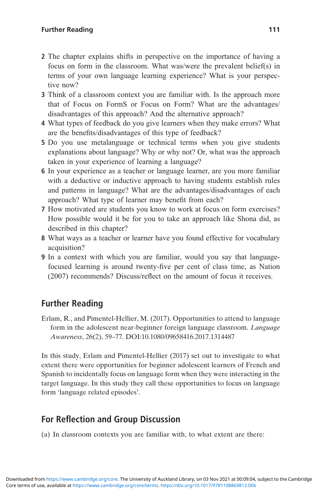- 2 The chapter explains shifts in perspective on the importance of having a focus on form in the classroom. What was/were the prevalent belief(s) in terms of your own language learning experience? What is your perspective now?
- 3 Think of a classroom context you are familiar with. Is the approach more that of Focus on FormS or Focus on Form? What are the advantages/ disadvantages of this approach? And the alternative approach?
- 4 What types of feedback do you give learners when they make errors? What are the benefits/disadvantages of this type of feedback?
- 5 Do you use metalanguage or technical terms when you give students explanations about language? Why or why not? Or, what was the approach taken in your experience of learning a language?
- 6 In your experience as a teacher or language learner, are you more familiar with a deductive or inductive approach to having students establish rules and patterns in language? What are the advantages/disadvantages of each approach? What type of learner may benefit from each?
- 7 How motivated are students you know to work at focus on form exercises? How possible would it be for you to take an approach like Shona did, as described in this chapter?
- 8 What ways as a teacher or learner have you found effective for vocabulary acquisition?
- 9 In a context with which you are familiar, would you say that languagefocused learning is around twenty-five per cent of class time, as Nation (2007) recommends? Discuss/reflect on the amount of focus it receives.

# Further Reading

Erlam, R., and Pimentel-Hellier, M. (2017). Opportunities to attend to language form in the adolescent near-beginner foreign language classroom. Language Awareness, 26(2), 59–77. DOI:10.1080/09658416.2017.1314487

In this study, Erlam and Pimentel-Hellier (2017) set out to investigate to what extent there were opportunities for beginner adolescent learners of French and Spanish to incidentally focus on language form when they were interacting in the target language. In this study they call these opportunities to focus on language form 'language related episodes'.

# For Reflection and Group Discussion

(a) In classroom contexts you are familiar with, to what extent are there: